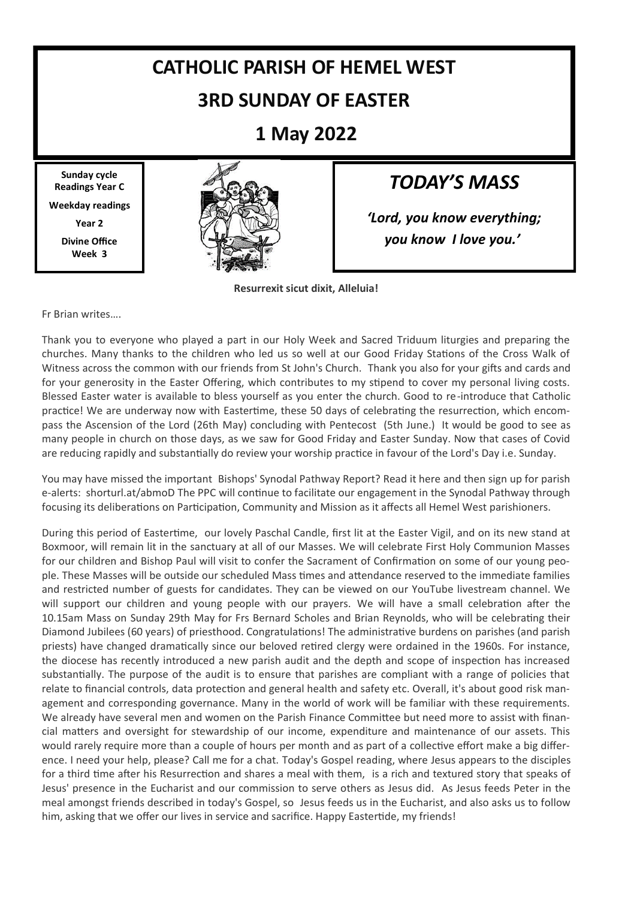# **CATHOLIC PARISH OF HEMEL WEST 3RD SUNDAY OF EASTER**

**1 May 2022**

**Sunday cycle Readings Year C Weekday readings Year 2 Divine Office Week 3**



### *TODAY'S MASS*

*'Lord, you know everything; you know I love you.'*

**Resurrexit sicut dixit, Alleluia!**

Fr Brian writes….

Thank you to everyone who played a part in our Holy Week and Sacred Triduum liturgies and preparing the churches. Many thanks to the children who led us so well at our Good Friday Stations of the Cross Walk of Witness across the common with our friends from St John's Church. Thank you also for your gifts and cards and for your generosity in the Easter Offering, which contributes to my stipend to cover my personal living costs. Blessed Easter water is available to bless yourself as you enter the church. Good to re-introduce that Catholic practice! We are underway now with Eastertime, these 50 days of celebrating the resurrection, which encompass the Ascension of the Lord (26th May) concluding with Pentecost (5th June.) It would be good to see as many people in church on those days, as we saw for Good Friday and Easter Sunday. Now that cases of Covid are reducing rapidly and substantially do review your worship practice in favour of the Lord's Day i.e. Sunday.

You may have missed the important Bishops' Synodal Pathway Report? Read it here and then sign up for parish e-alerts: shorturl.at/abmoD The PPC will continue to facilitate our engagement in the Synodal Pathway through focusing its deliberations on Participation, Community and Mission as it affects all Hemel West parishioners.

During this period of Eastertime, our lovely Paschal Candle, first lit at the Easter Vigil, and on its new stand at Boxmoor, will remain lit in the sanctuary at all of our Masses. We will celebrate First Holy Communion Masses for our children and Bishop Paul will visit to confer the Sacrament of Confirmation on some of our young people. These Masses will be outside our scheduled Mass times and attendance reserved to the immediate families and restricted number of guests for candidates. They can be viewed on our YouTube livestream channel. We will support our children and young people with our prayers. We will have a small celebration after the 10.15am Mass on Sunday 29th May for Frs Bernard Scholes and Brian Reynolds, who will be celebrating their Diamond Jubilees (60 years) of priesthood. Congratulations! The administrative burdens on parishes (and parish priests) have changed dramatically since our beloved retired clergy were ordained in the 1960s. For instance, the diocese has recently introduced a new parish audit and the depth and scope of inspection has increased substantially. The purpose of the audit is to ensure that parishes are compliant with a range of policies that relate to financial controls, data protection and general health and safety etc. Overall, it's about good risk management and corresponding governance. Many in the world of work will be familiar with these requirements. We already have several men and women on the Parish Finance Committee but need more to assist with financial matters and oversight for stewardship of our income, expenditure and maintenance of our assets. This would rarely require more than a couple of hours per month and as part of a collective effort make a big difference. I need your help, please? Call me for a chat. Today's Gospel reading, where Jesus appears to the disciples for a third time after his Resurrection and shares a meal with them, is a rich and textured story that speaks of Jesus' presence in the Eucharist and our commission to serve others as Jesus did. As Jesus feeds Peter in the meal amongst friends described in today's Gospel, so Jesus feeds us in the Eucharist, and also asks us to follow him, asking that we offer our lives in service and sacrifice. Happy Eastertide, my friends!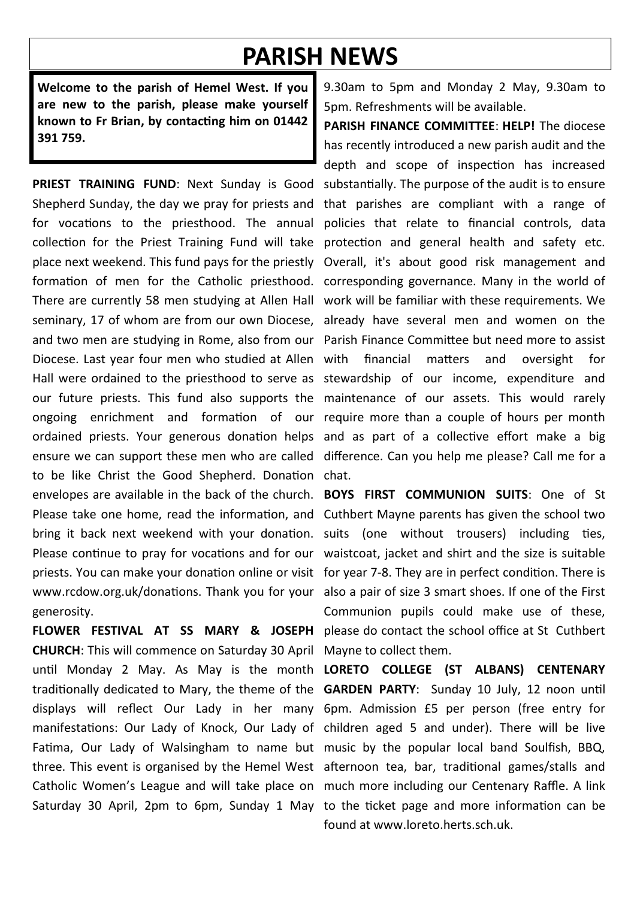## **PARISH NEWS**

**Welcome to the parish of Hemel West. If you are new to the parish, please make yourself known to Fr Brian, by contacting him on 01442 391 759.**

**PRIEST TRAINING FUND**: Next Sunday is Good substantially. The purpose of the audit is to ensure Shepherd Sunday, the day we pray for priests and that parishes are compliant with a range of for vocations to the priesthood. The annual policies that relate to financial controls, data collection for the Priest Training Fund will take protection and general health and safety etc. place next weekend. This fund pays for the priestly Overall, it's about good risk management and formation of men for the Catholic priesthood. corresponding governance. Many in the world of There are currently 58 men studying at Allen Hall work will be familiar with these requirements. We seminary, 17 of whom are from our own Diocese, already have several men and women on the and two men are studying in Rome, also from our Parish Finance Committee but need more to assist Diocese. Last year four men who studied at Allen with financial matters and oversight for Hall were ordained to the priesthood to serve as stewardship of our income, expenditure and our future priests. This fund also supports the maintenance of our assets. This would rarely ongoing enrichment and formation of our require more than a couple of hours per month ordained priests. Your generous donation helps and as part of a collective effort make a big ensure we can support these men who are called difference. Can you help me please? Call me for a to be like Christ the Good Shepherd. Donation chat. envelopes are available in the back of the church. **BOYS FIRST COMMUNION SUITS**: One of St Please take one home, read the information, and Cuthbert Mayne parents has given the school two bring it back next weekend with your donation. suits (one without trousers) including ties, Please continue to pray for vocations and for our waistcoat, jacket and shirt and the size is suitable priests. You can make your donation online or visit for year 7-8. They are in perfect condition. There is www.rcdow.org.uk/donations. Thank you for your also a pair of size 3 smart shoes. If one of the First generosity.

**CHURCH**: This will commence on Saturday 30 April Mayne to collect them. until Monday 2 May. As May is the month **LORETO COLLEGE (ST ALBANS) CENTENARY**  traditionally dedicated to Mary, the theme of the **GARDEN PARTY**: Sunday 10 July, 12 noon until displays will reflect Our Lady in her many 6pm. Admission £5 per person (free entry for manifestations: Our Lady of Knock, Our Lady of children aged 5 and under). There will be live Fatima, Our Lady of Walsingham to name but music by the popular local band Soulfish, BBQ, three. This event is organised by the Hemel West afternoon tea, bar, traditional games/stalls and Catholic Women's League and will take place on much more including our Centenary Raffle. A link

9.30am to 5pm and Monday 2 May, 9.30am to 5pm. Refreshments will be available.

**PARISH FINANCE COMMITTEE**: **HELP!** The diocese has recently introduced a new parish audit and the depth and scope of inspection has increased

**FLOWER FESTIVAL AT SS MARY & JOSEPH**  please do contact the school office at St Cuthbert Communion pupils could make use of these,

Saturday 30 April, 2pm to 6pm, Sunday 1 May to the ticket page and more information can be found at www.loreto.herts.sch.uk.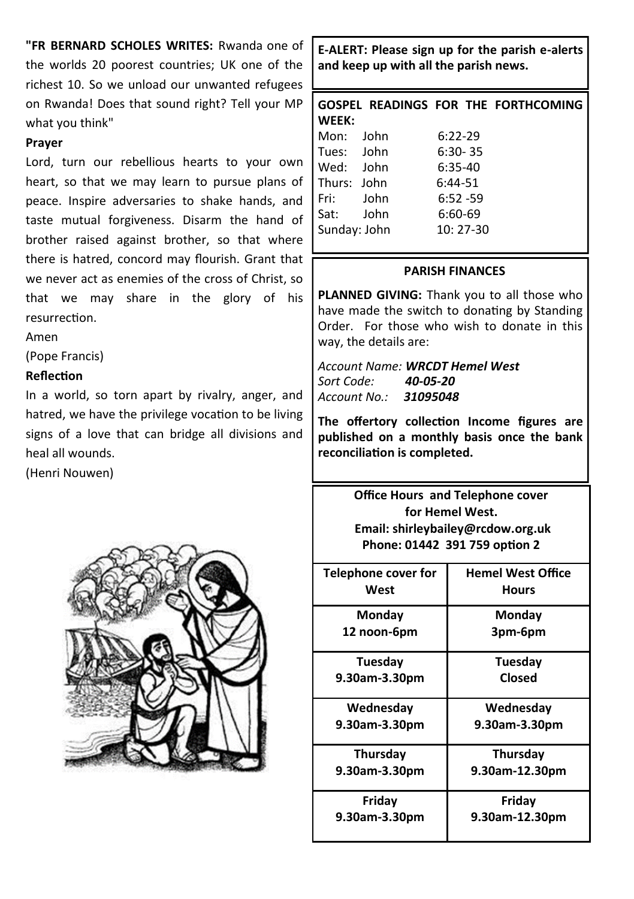**"FR BERNARD SCHOLES WRITES:** Rwanda one of the worlds 20 poorest countries; UK one of the richest 10. So we unload our unwanted refugees on Rwanda! Does that sound right? Tell your MP what you think"

#### **Prayer**

Lord, turn our rebellious hearts to your own heart, so that we may learn to pursue plans of peace. Inspire adversaries to shake hands, and taste mutual forgiveness. Disarm the hand of brother raised against brother, so that where there is hatred, concord may flourish. Grant that we never act as enemies of the cross of Christ, so that we may share in the glory of his resurrection.

Amen

(Pope Francis)

#### **Reflection**

In a world, so torn apart by rivalry, anger, and hatred, we have the privilege vocation to be living signs of a love that can bridge all divisions and heal all wounds.

(Henri Nouwen)



**E-ALERT: Please sign up for the parish e-alerts and keep up with all the parish news.** 

|              |  |             |  | GOSPEL READINGS FOR THE FORTHCOMING |
|--------------|--|-------------|--|-------------------------------------|
| WEEK:        |  |             |  |                                     |
| Mon: John    |  | $6:22-29$   |  |                                     |
| Tues: John   |  | $6:30 - 35$ |  |                                     |
| Wed: John    |  | $6:35-40$   |  |                                     |
| Thurs: John  |  | $6:44-51$   |  |                                     |
| Fri: John    |  | $6:52 - 59$ |  |                                     |
| Sat: John    |  | $6:60-69$   |  |                                     |
| Sunday: John |  | $10:27-30$  |  |                                     |
|              |  |             |  |                                     |

#### **PARISH FINANCES**

**PLANNED GIVING:** Thank you to all those who have made the switch to donating by Standing Order. For those who wish to donate in this way, the details are:

*Account Name: WRCDT Hemel West Sort Code: 40-05-20 Account No.: 31095048*

**The offertory collection Income figures are published on a monthly basis once the bank reconciliation is completed.**

> **Office Hours and Telephone cover for Hemel West. Email: shirleybailey@rcdow.org.uk Phone: 01442 391 759 option 2**

| Telephone cover for | <b>Hemel West Office</b> |  |  |
|---------------------|--------------------------|--|--|
| West                | <b>Hours</b>             |  |  |
| Monday              | Mondav                   |  |  |
| 12 noon-6pm         | 3pm-6pm                  |  |  |
| Tuesdav             | Tuesday                  |  |  |
| 9.30am-3.30pm       | Closed                   |  |  |
| Wednesday           | Wednesday                |  |  |
| 9.30am-3.30pm       | 9.30am-3.30pm            |  |  |
| Thursday            | Thursday                 |  |  |
| 9.30am-3.30pm       | 9.30am-12.30pm           |  |  |
| Friday              | Friday                   |  |  |
| 9.30am-3.30pm       | 9.30am-12.30pm           |  |  |